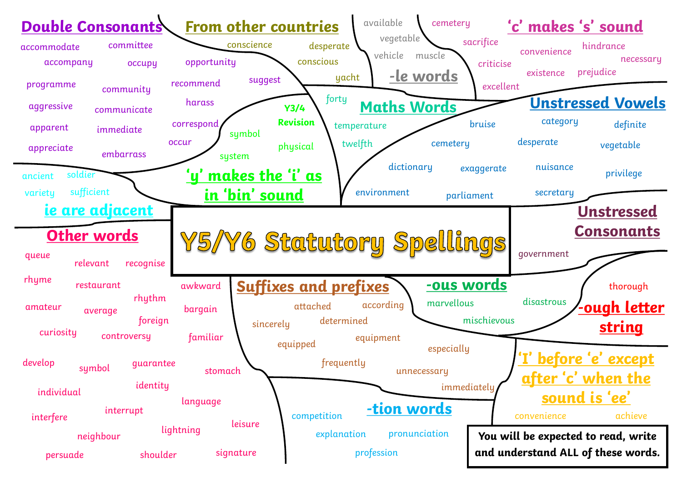